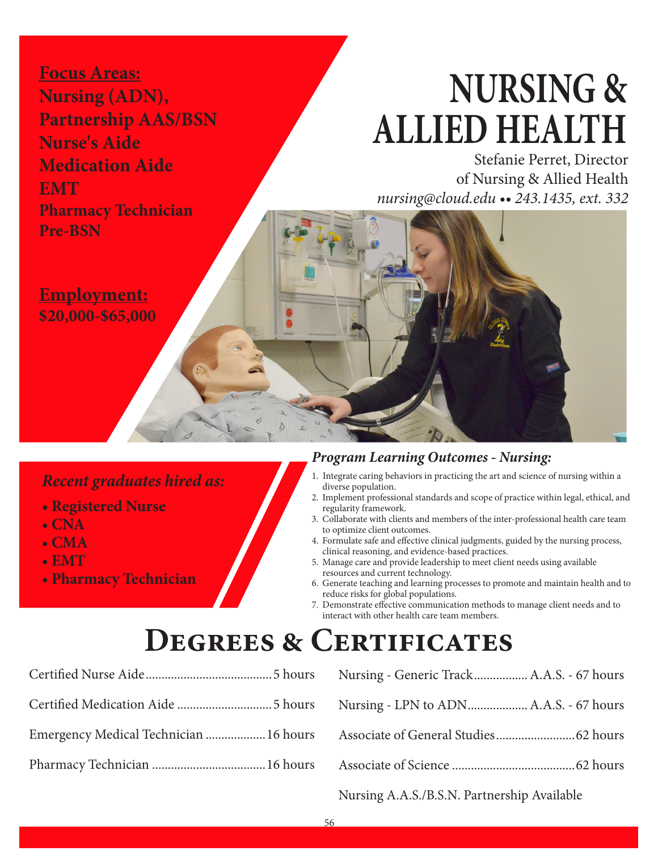**Focus Areas: Nursing (ADN), Partnership AAS/BSN Nurse's Aide Medication Aide EMT Pharmacy Technician Pre-BSN**

# **NURSING & ALLIED HEALTH**

Stefanie Perret, Director of Nursing & Allied Health *nursing@cloud.edu •• 243.1435, ext. 332*

**Employment: \$20,000-\$65,000**

# *Recent graduates hired as:*

- **Registered Nurse**
- **CNA**
- **CMA**
- **EMT**
- **Pharmacy Technician**

# *Program Learning Outcomes - Nursing:*

- 1. Integrate caring behaviors in practicing the art and science of nursing within a diverse population.
- 2. Implement professional standards and scope of practice within legal, ethical, and regularity framework.
- 3. Collaborate with clients and members of the inter-professional health care team to optimize client outcomes.
- 4. Formulate safe and effective clinical judgments, guided by the nursing process, clinical reasoning, and evidence-based practices.
- 5. Manage care and provide leadership to meet client needs using available resources and current technology.
- 6. Generate teaching and learning processes to promote and maintain health and to reduce risks for global populations.
- 7. Demonstrate effective communication methods to manage client needs and to interact with other health care team members.

# **Degrees & Certificates**

| Emergency Medical Technician  16 hours |  |
|----------------------------------------|--|
|                                        |  |

| Nursing - Generic Track A.A.S. - 67 hours                                                                                                                                                              |
|--------------------------------------------------------------------------------------------------------------------------------------------------------------------------------------------------------|
|                                                                                                                                                                                                        |
|                                                                                                                                                                                                        |
|                                                                                                                                                                                                        |
| $\mathbf{M}_{\text{out}}$ is a $\mathbf{A}$ $\mathbf{A}$ $\mathbf{C}$ $\mathbf{D}$ $\mathbf{C}$ $\mathbf{M}$ $\mathbf{D}_{\text{out}}$ and $\mathbf{L}_{\text{in}}$ $\mathbf{A}_{\text{out}}$ : 1.1.1. |

Nursing A.A.S./B.S.N. Partnership Available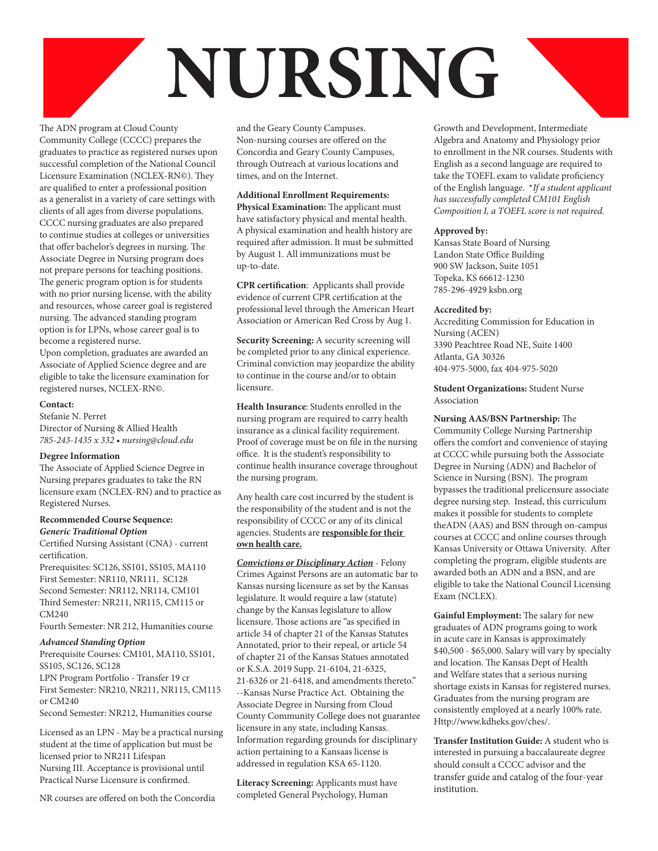# **NURSING**

The ADN program at Cloud County Community College (CCCC) prepares the graduates to practice as registered nurses upon successful completion of the National Council Licensure Examination (NCLEX-RN©). They are qualified to enter a professional position as a generalist in a variety of care settings with clients of all ages from diverse populations. CCCC nursing graduates are also prepared to continue studies at colleges or universities that offer bachelor's degrees in nursing. The Associate Degree in Nursing program does not prepare persons for teaching positions. The generic program option is for students with no prior nursing license, with the ability and resources, whose career goal is registered nursing. The advanced standing program option is for LPNs, whose career goal is to become a registered nurse.

Upon completion, graduates are awarded an Associate of Applied Science degree and are eligible to take the licensure examination for registered nurses, NCLEX-RN©.

#### **Contact:**

Stefanie N. Perret Director of Nursing & Allied Health *785-243-1435 x 332 • nursing@cloud.edu* 

#### **Degree Information**

The Associate of Applied Science Degree in Nursing prepares graduates to take the RN licensure exam (NCLEX-RN) and to practice as Registered Nurses.

#### **Recommended Course Sequence:** *Generic Traditional Option*

Certified Nursing Assistant (CNA) - current certification.

Prerequisites: SC126, SS101, SS105, MA110 First Semester: NR110, NR111, SC128 Second Semester: NR112, NR114, CM101 Third Semester: NR211, NR115, CM115 or CM240

Fourth Semester: NR 212, Humanities course

#### *Advanced Standing Option*

Prerequisite Courses: CM101, MA110, SS101, SS105, SC126, SC128

LPN Program Portfolio - Transfer 19 cr First Semester: NR210, NR211, NR115, CM115  $or CM240$ 

Second Semester: NR212, Humanities course

Licensed as an LPN - May be a practical nursing student at the time of application but must be licensed prior to NR211 Lifespan Nursing III. Acceptance is provisional until Practical Nurse Licensure is confirmed.

NR courses are offered on both the Concordia

and the Geary County Campuses. Non-nursing courses are offered on the Concordia and Geary County Campuses, through Outreach at various locations and times, and on the Internet.

### **Additional Enrollment Requirements:**

**Physical Examination:** The applicant must have satisfactory physical and mental health. A physical examination and health history are required after admission. It must be submitted by August 1. All immunizations must be up-to-date.

**CPR certification:** Applicants shall provide evidence of current CPR certification at the professional level through the American Heart Association or American Red Cross by Aug 1.

**Security Screening:** A security screening will be completed prior to any clinical experience. Criminal conviction may jeopardize the ability to continue in the course and/or to obtain licensure.

**Health Insurance**: Students enrolled in the nursing program are required to carry health insurance as a clinical facility requirement. Proof of coverage must be on file in the nursing office. It is the student's responsibility to continue health insurance coverage throughout the nursing program.

Any health care cost incurred by the student is the responsibility of the student and is not the responsibility of CCCC or any of its clinical agencies. Students are **responsible for their own health care.**

*Convictions or Disciplinary Action* - Felony Crimes Against Persons are an automatic bar to Kansas nursing licensure as set by the Kansas legislature. It would require a law (statute) change by the Kansas legislature to allow licensure. Those actions are "as specified in article 34 of chapter 21 of the Kansas Statutes Annotated, prior to their repeal, or article 54 of chapter 21 of the Kansas Statues annotated or K.S.A. 2019 Supp. 21-6104, 21-6325, 21-6326 or 21-6418, and amendments thereto." --Kansas Nurse Practice Act. Obtaining the Associate Degree in Nursing from Cloud County Community College does not guarantee licensure in any state, including Kansas. Information regarding grounds for disciplinary action pertaining to a Kansaas license is addressed in regulation KSA 65-1120.

**Literacy Screening:** Applicants must have completed General Psychology, Human

Growth and Development, Intermediate Algebra and Anatomy and Physiology prior to enrollment in the NR courses. Students with English as a second language are required to take the TOEFL exam to validate proficiency of the English language. \**If a student applicant has successfully completed CM101 English Composition I, a TOEFL score is not required.*

#### **Approved by:**

Kansas State Board of Nursing Landon State Office Building 900 SW Jackson, Suite 1051 Topeka, KS 66612-1230 785-296-4929 ksbn.org

#### **Accredited by:**

Accrediting Commission for Education in Nursing (ACEN) 3390 Peachtree Road NE, Suite 1400 Atlanta, GA 30326 404-975-5000, fax 404-975-5020

**Student Organizations:** Student Nurse Association

### **Nursing AAS/BSN Partnership:** The

Community College Nursing Partnership offers the comfort and convenience of staying at CCCC while pursuing both the Asssociate Degree in Nursing (ADN) and Bachelor of Science in Nursing (BSN). The program bypasses the traditional prelicensure associate degree nursing step. Instead, this curriculum makes it possible for students to complete theADN (AAS) and BSN through on-campus courses at CCCC and online courses through Kansas University or Ottawa University. After completing the program, eligible students are awarded both an ADN and a BSN, and are eligible to take the National Council Licensing Exam (NCLEX).

**Gainful Employment:** The salary for new graduates of ADN programs going to work in acute care in Kansas is approximately \$40,500 - \$65,000. Salary will vary by specialty and location. The Kansas Dept of Health and Welfare states that a serious nursing shortage exists in Kansas for registered nurses. Graduates from the nursing program are consistently employed at a nearly 100% rate. Http://www.kdheks.gov/ches/.

**Transfer Institution Guide:** A student who is interested in pursuing a baccalaureate degree should consult a CCCC advisor and the transfer guide and catalog of the four-year institution.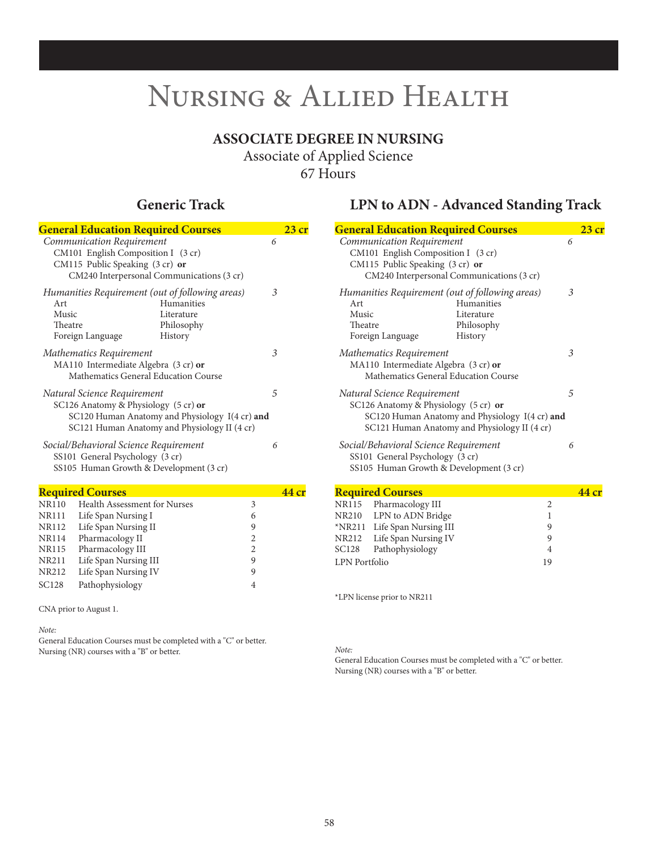# **ASSOCIATE DEGREE IN NURSING**

Associate of Applied Science 67 Hours

| <b>General Education Required Courses</b>                                                                                                                                       | 23 <sub>cr</sub> |
|---------------------------------------------------------------------------------------------------------------------------------------------------------------------------------|------------------|
| Communication Requirement<br>CM101 English Composition I (3 cr)<br>CM115 Public Speaking $(3 \text{ cr})$ or<br>CM240 Interpersonal Communications (3 cr)                       | 6                |
| Humanities Requirement (out of following areas)<br><b>Humanities</b><br>Art<br>Music<br>Literature<br>Theatre<br>Philosophy<br>Foreign Language<br>History                      | 3                |
| Mathematics Requirement<br>MA110 Intermediate Algebra (3 cr) or<br>Mathematics General Education Course                                                                         | 3                |
| Natural Science Requirement<br>SC126 Anatomy & Physiology (5 cr) or<br>SC120 Human Anatomy and Physiology $I(4 \text{ cr})$ and<br>SC121 Human Anatomy and Physiology II (4 cr) | 5                |
| Social/Behavioral Science Requirement<br>SS101 General Psychology (3 cr)<br>SS105 Human Growth & Development (3 cr)                                                             | 6                |

| <b>Required Courses</b>             | 44 cr |  |
|-------------------------------------|-------|--|
| <b>Health Assessment for Nurses</b> | 3     |  |
| Life Span Nursing I                 | 6     |  |
| Life Span Nursing II                | 9     |  |
| Pharmacology II                     | 2     |  |
| Pharmacology III                    | 2     |  |
| Life Span Nursing III               | 9     |  |
| Life Span Nursing IV                | 9     |  |
| Pathophysiology                     | 4     |  |
|                                     |       |  |

CNA prior to August 1.

*Note:*

General Education Courses must be completed with a "C" or better. Nursing (NR) courses with a "B" or better.

# **Generic Track LPN to ADN - Advanced Standing Track**

| <b>General Education Required Courses</b>                                                                                                                             |   | 23cr  |
|-----------------------------------------------------------------------------------------------------------------------------------------------------------------------|---|-------|
| Communication Requirement<br>CM101 English Composition I (3 cr)<br>CM115 Public Speaking (3 cr) or<br>CM240 Interpersonal Communications (3 cr)                       | 6 |       |
| Humanities Requirement (out of following areas)<br>Humanities<br>Art<br>Music<br>Literature<br>Theatre<br>Philosophy<br>Foreign Language<br>History                   | 3 |       |
| Mathematics Requirement<br>MA110 Intermediate Algebra (3 cr) or<br>Mathematics General Education Course                                                               | 3 |       |
| Natural Science Requirement<br>SC126 Anatomy & Physiology (5 cr) or<br>SC120 Human Anatomy and Physiology I(4 cr) and<br>SC121 Human Anatomy and Physiology II (4 cr) | 5 |       |
| Social/Behavioral Science Requirement<br>SS101 General Psychology (3 cr)<br>SS105 Human Growth & Development (3 cr)                                                   | 6 |       |
| <b>Required Courses</b>                                                                                                                                               |   | 44 cr |
| NR115 Pharmacology III<br>$\overline{2}$                                                                                                                              |   |       |
| $N$ R210 IPN to ADN Bridge                                                                                                                                            |   |       |

|               | NR210 LPN to ADN Bridge      |    |  |
|---------------|------------------------------|----|--|
|               | *NR211 Life Span Nursing III | q  |  |
|               | NR212 Life Span Nursing IV   | q  |  |
|               | SC128 Pathophysiology        | 4  |  |
| LPN Portfolio |                              | 19 |  |
|               |                              |    |  |

\*LPN license prior to NR211

*Note:*

General Education Courses must be completed with a "C" or better. Nursing (NR) courses with a "B" or better.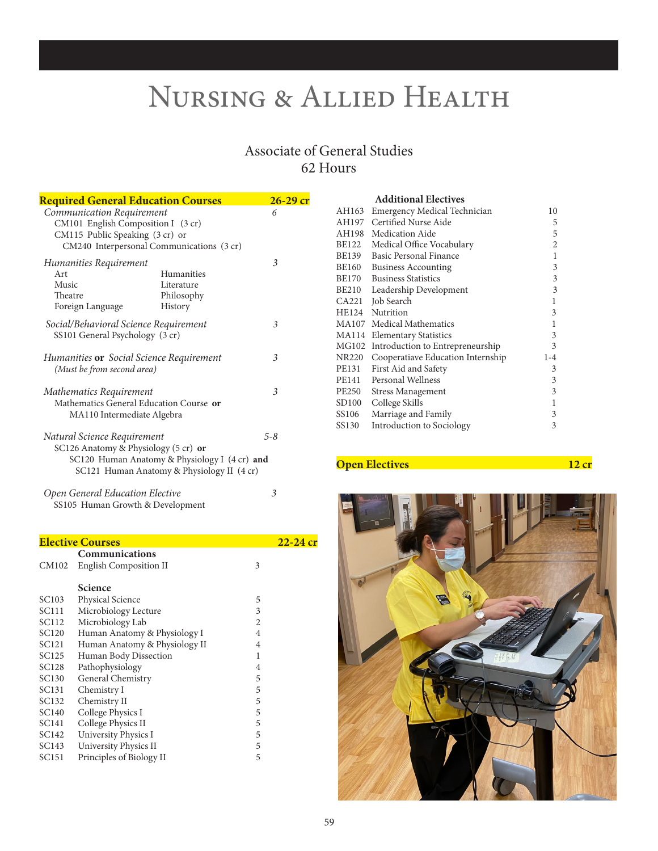# Associate of General Studies 62 Hours

| <b>Required General Education Courses</b>                                                                                                       |                                                   | $26-29$ cr |
|-------------------------------------------------------------------------------------------------------------------------------------------------|---------------------------------------------------|------------|
| Communication Requirement<br>CM101 English Composition I (3 cr)<br>CM115 Public Speaking (3 cr) or<br>CM240 Interpersonal Communications (3 cr) |                                                   | 6          |
| Humanities Requirement<br>Art<br>Music<br>Theatre<br>Foreign Language                                                                           | Humanities<br>Literature<br>Philosophy<br>History | 3          |
| Social/Behavioral Science Requirement<br>SS101 General Psychology (3 cr)                                                                        |                                                   | 3          |
| Humanities <b>or</b> Social Science Requirement<br>(Must be from second area)                                                                   |                                                   | 3          |
| Mathematics Requirement<br>Mathematics General Education Course or<br>MA110 Intermediate Algebra                                                |                                                   | 3          |
| Natural Science Requirement<br>SC126 Anatomy & Physiology (5 cr) or<br>SC120 Human Anatomy & Physiology I (4 cr) and                            | SC121 Human Anatomy & Physiology II (4 cr)        | $5 - 8$    |
| Open General Education Elective<br>SS105 Human Growth & Development                                                                             |                                                   | 3          |

# **Elective Courses**<br> **Communications**<br>
CM102 English Composition II 3 CM102 English Composition II

|                   | <b>Science</b>                |   |
|-------------------|-------------------------------|---|
| SC103             | <b>Physical Science</b>       | 5 |
| SC111             | Microbiology Lecture          | 3 |
| SC112             | Microbiology Lab              | 2 |
| SC120             | Human Anatomy & Physiology I  | 4 |
| SC121             | Human Anatomy & Physiology II | 4 |
| SC125             | Human Body Dissection         | 1 |
| SC128             | Pathophysiology               | 4 |
| SC130             | General Chemistry             | 5 |
| SC131             | Chemistry I                   | 5 |
| SC132             | Chemistry II                  | 5 |
| SC140             | College Physics I             | 5 |
| SC <sub>141</sub> | College Physics II            | 5 |
| SC142             | University Physics I          | 5 |
| SC143             | University Physics II         | 5 |
| SC151             | Principles of Biology II      | 5 |

|              | <b>Additional Electives</b>       |                |
|--------------|-----------------------------------|----------------|
| AH163        | Emergency Medical Technician      | 10             |
| AH197        | Certified Nurse Aide              | 5              |
| AH198        | Medication Aide                   | 5              |
| BE122        | Medical Office Vocabulary         | $\overline{2}$ |
| BE139        | Basic Personal Finance            | 1              |
| BE160        | <b>Business Accounting</b>        | 3              |
| BE170        | <b>Business Statistics</b>        | 3              |
| <b>BE210</b> | Leadership Development            | 3              |
| CA221        | Job Search                        | 1              |
| HE124        | Nutrition                         | 3              |
| <b>MA107</b> | Medical Mathematics               | 1              |
| MA114        | <b>Elementary Statistics</b>      | 3              |
| MG102        | Introduction to Entrepreneurship  | 3              |
| <b>NR220</b> | Cooperatiave Education Internship | $1 - 4$        |
| PE131        | First Aid and Safety              | 3              |
| PE141        | Personal Wellness                 | 3              |
| <b>PE250</b> | <b>Stress Management</b>          | 3              |
| SD100        | College Skills                    | 1              |
| SS106        | Marriage and Family               | 3              |
| SS130        | Introduction to Sociology         | 3              |

## **Open Electives** 12 cr

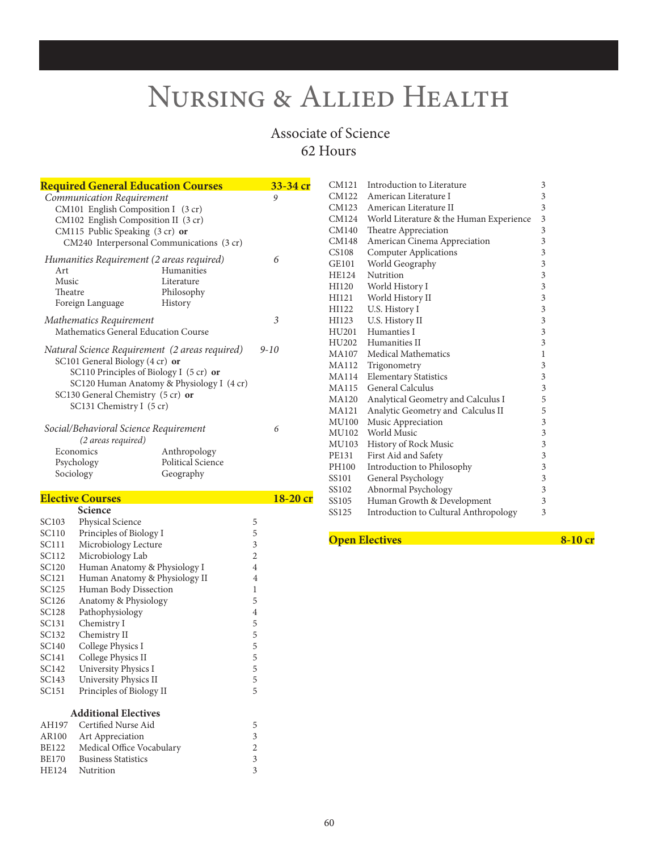# Associate of Science 62 Hours

| <u><b>Required General Education Courses</b></u>                                                                                                                                              |                                                   | 33-34 cr |
|-----------------------------------------------------------------------------------------------------------------------------------------------------------------------------------------------|---------------------------------------------------|----------|
| Communication Requirement<br>CM101 English Composition I (3 cr)<br>CM102 English Composition II (3 cr)<br>CM115 Public Speaking (3 cr) or<br>CM240 Interpersonal Communications (3 cr)        |                                                   | 9        |
| Humanities Requirement (2 areas required)<br>Art<br>Music<br>Theatre<br>Foreign Language                                                                                                      | Humanities<br>Literature<br>Philosophy<br>History | 6        |
| Mathematics Requirement<br>Mathematics General Education Course                                                                                                                               |                                                   | 3        |
| Natural Science Requirement (2 areas required)<br>SC101 General Biology (4 cr) or<br>SC110 Principles of Biology I (5 cr) or<br>SC130 General Chemistry (5 cr) or<br>SC131 Chemistry I (5 cr) | SC120 Human Anatomy & Physiology I (4 cr)         | $9 - 10$ |
| Social/Behavioral Science Requirement<br>(2 areas required)<br>Economics<br>Psychology<br>Sociology                                                                                           | Anthropology<br>Political Science<br>Geography    | 6        |

# **Elective Courses 18-20 cr** Science

|              | əcience                       |                |
|--------------|-------------------------------|----------------|
| SC103        | <b>Physical Science</b>       | 5              |
| SC110        | Principles of Biology I       | 5              |
| SC111        | Microbiology Lecture          | 3              |
| SC112        | Microbiology Lab              | $\overline{2}$ |
| SC120        | Human Anatomy & Physiology I  | 4              |
| SC121        | Human Anatomy & Physiology II | $\overline{4}$ |
| SC125        | Human Body Dissection         | 1              |
| SC126        | Anatomy & Physiology          | 5              |
| SC128        | Pathophysiology               | $\overline{4}$ |
| SC131        | Chemistry I                   | 5              |
| SC132        | Chemistry II                  | 5              |
| SC140        | College Physics I             | 5              |
| SC141        | College Physics II            | 5              |
| SC142        | University Physics I          | 5              |
| SC143        | University Physics II         | 5              |
| SC151        | Principles of Biology II      | 5              |
|              |                               |                |
|              | <b>Additional Electives</b>   |                |
| AH197        | Certified Nurse Aid           | 5              |
| AR100        | Art Appreciation              | 3              |
| BE122        | Medical Office Vocabulary     | 2              |
| BE170        | <b>Business Statistics</b>    | 3              |
| <b>HE124</b> | Nutrition                     | 3              |

| CM121 | Introduction to Literature                   | 3                       |
|-------|----------------------------------------------|-------------------------|
| CM122 | American Literature I                        | 3                       |
| CM123 | American Literature II                       | 3                       |
| CM124 | World Literature & the Human Experience      | 3                       |
| CM140 | Theatre Appreciation                         | 3                       |
| CM148 | American Cinema Appreciation                 | 3                       |
| CS108 | <b>Computer Applications</b>                 | 3                       |
| GE101 | World Geography                              | $\overline{\mathbf{3}}$ |
| HE124 | Nutrition                                    | 3                       |
| HI120 | World History I                              | $\overline{\mathbf{3}}$ |
| HI121 | World History II                             | 3                       |
| HI122 | U.S. History I                               | $\overline{\mathbf{3}}$ |
| HI123 | U.S. History II                              | $\overline{\mathbf{3}}$ |
| HU201 | Humanties I                                  | $\overline{\mathbf{3}}$ |
| HU202 | Humanities II                                | $\overline{\mathbf{3}}$ |
| MA107 | Medical Mathematics                          | 1                       |
|       | MA112 Trigonometry                           | 3                       |
| MA114 | <b>Elementary Statistics</b>                 | 3                       |
| MA115 | General Calculus                             | $\overline{3}$          |
| MA120 | Analytical Geometry and Calculus I           | 5                       |
| MA121 | Analytic Geometry and Calculus II            | 5                       |
| MU100 | Music Appreciation                           | 3                       |
| MU102 | World Music                                  | 3                       |
| MU103 | History of Rock Music                        | $\overline{\mathbf{3}}$ |
| PE131 | First Aid and Safety                         | 3                       |
| PH100 | Introduction to Philosophy                   | 3                       |
| SS101 | General Psychology                           | 3                       |
| SS102 | Abnormal Psychology                          | 3                       |
| SS105 | Human Growth & Development                   | 3                       |
| SS125 | <b>Introduction to Cultural Anthropology</b> | 3                       |
|       |                                              |                         |

### **Open Electives 8-10 cr**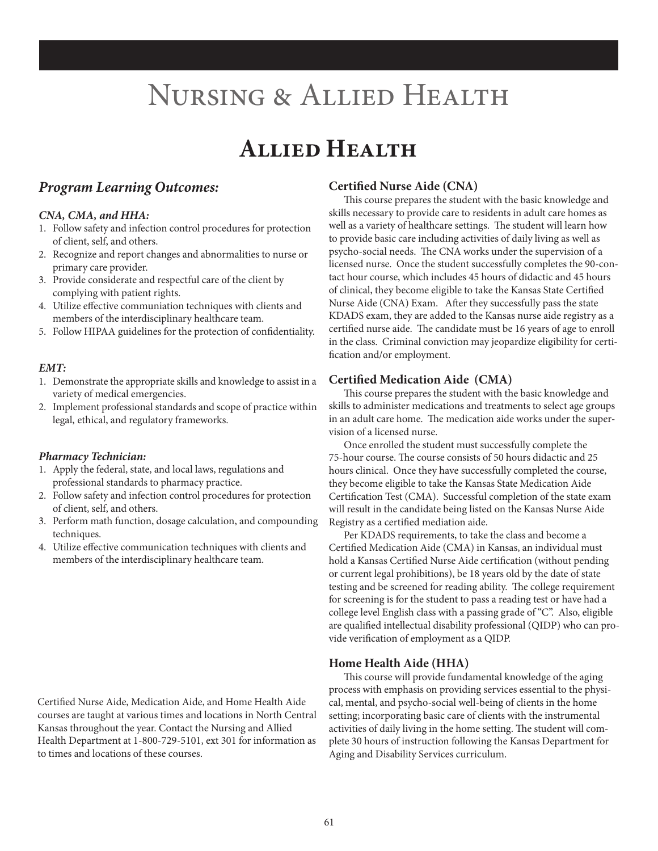# **Allied Health**

# *Program Learning Outcomes:*

### *CNA, CMA, and HHA:*

- 1. Follow safety and infection control procedures for protection of client, self, and others.
- 2. Recognize and report changes and abnormalities to nurse or primary care provider.
- 3. Provide considerate and respectful care of the client by complying with patient rights.
- 4. Utilize effective communiation techniques with clients and members of the interdisciplinary healthcare team.
- 5. Follow HIPAA guidelines for the protection of confidentiality.

### *EMT:*

- 1. Demonstrate the appropriate skills and knowledge to assist in a variety of medical emergencies.
- 2. Implement professional standards and scope of practice within legal, ethical, and regulatory frameworks.

### *Pharmacy Technician:*

- 1. Apply the federal, state, and local laws, regulations and professional standards to pharmacy practice.
- 2. Follow safety and infection control procedures for protection of client, self, and others.
- 3. Perform math function, dosage calculation, and compounding techniques.
- 4. Utilize effective communication techniques with clients and members of the interdisciplinary healthcare team.

Certified Nurse Aide, Medication Aide, and Home Health Aide courses are taught at various times and locations in North Central Kansas throughout the year. Contact the Nursing and Allied Health Department at 1-800-729-5101, ext 301 for information as to times and locations of these courses.

### **Certi(ed Nurse Aide (CNA)**

This course prepares the student with the basic knowledge and skills necessary to provide care to residents in adult care homes as well as a variety of healthcare settings. The student will learn how to provide basic care including activities of daily living as well as psycho-social needs. The CNA works under the supervision of a licensed nurse. Once the student successfully completes the 90-contact hour course, which includes 45 hours of didactic and 45 hours of clinical, they become eligible to take the Kansas State Certified Nurse Aide (CNA) Exam. After they successfully pass the state KDADS exam, they are added to the Kansas nurse aide registry as a certified nurse aide. The candidate must be 16 years of age to enroll in the class. Criminal conviction may jeopardize eligibility for certi fication and/or employment.

### **Certified Medication Aide (CMA)**

This course prepares the student with the basic knowledge and skills to administer medications and treatments to select age groups in an adult care home. The medication aide works under the supervision of a licensed nurse.

Once enrolled the student must successfully complete the 75-hour course. The course consists of 50 hours didactic and 25 hours clinical. Once they have successfully completed the course, they become eligible to take the Kansas State Medication Aide Certification Test (CMA). Successful completion of the state exam will result in the candidate being listed on the Kansas Nurse Aide Registry as a certified mediation aide.

Per KDADS requirements, to take the class and become a Certified Medication Aide (CMA) in Kansas, an individual must hold a Kansas Certified Nurse Aide certification (without pending or current legal prohibitions), be 18 years old by the date of state testing and be screened for reading ability. The college requirement for screening is for the student to pass a reading test or have had a college level English class with a passing grade of "C". Also, eligible are qualified intellectual disability professional (QIDP) who can provide verification of employment as a QIDP.

### **Home Health Aide (HHA)**

This course will provide fundamental knowledge of the aging process with emphasis on providing services essential to the physical, mental, and psycho-social well-being of clients in the home setting; incorporating basic care of clients with the instrumental activities of daily living in the home setting. The student will complete 30 hours of instruction following the Kansas Department for Aging and Disability Services curriculum.